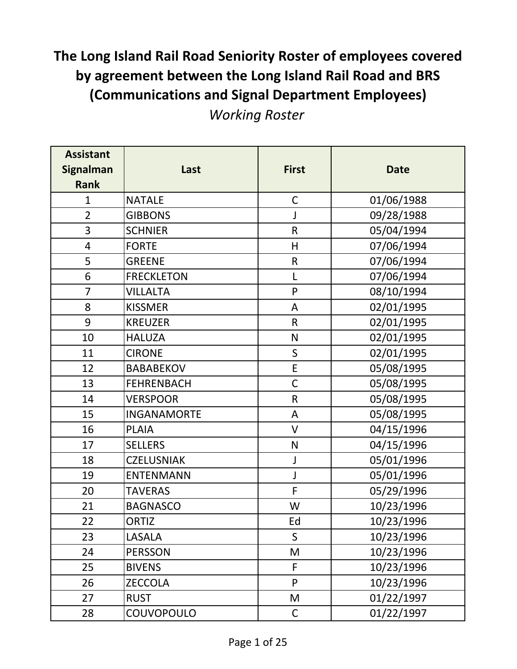| <b>Assistant</b><br><b>Signalman</b><br><b>Rank</b> | Last               | <b>First</b> | <b>Date</b> |
|-----------------------------------------------------|--------------------|--------------|-------------|
| $\mathbf{1}$                                        | <b>NATALE</b>      | $\mathsf C$  | 01/06/1988  |
| $\overline{2}$                                      | <b>GIBBONS</b>     | J            | 09/28/1988  |
| 3                                                   | <b>SCHNIER</b>     | $\mathsf R$  | 05/04/1994  |
| $\overline{4}$                                      | <b>FORTE</b>       | H            | 07/06/1994  |
| 5                                                   | <b>GREENE</b>      | ${\sf R}$    | 07/06/1994  |
| 6                                                   | <b>FRECKLETON</b>  | L            | 07/06/1994  |
| $\overline{7}$                                      | <b>VILLALTA</b>    | $\mathsf{P}$ | 08/10/1994  |
| 8                                                   | <b>KISSMER</b>     | A            | 02/01/1995  |
| 9                                                   | <b>KREUZER</b>     | $\mathsf{R}$ | 02/01/1995  |
| 10                                                  | <b>HALUZA</b>      | ${\sf N}$    | 02/01/1995  |
| 11                                                  | <b>CIRONE</b>      | $\sf S$      | 02/01/1995  |
| 12                                                  | <b>BABABEKOV</b>   | $\mathsf E$  | 05/08/1995  |
| 13                                                  | <b>FEHRENBACH</b>  | $\mathsf C$  | 05/08/1995  |
| 14                                                  | <b>VERSPOOR</b>    | ${\sf R}$    | 05/08/1995  |
| 15                                                  | <b>INGANAMORTE</b> | A            | 05/08/1995  |
| 16                                                  | <b>PLAIA</b>       | $\vee$       | 04/15/1996  |
| 17                                                  | <b>SELLERS</b>     | ${\sf N}$    | 04/15/1996  |
| 18                                                  | <b>CZELUSNIAK</b>  | J            | 05/01/1996  |
| 19                                                  | <b>ENTENMANN</b>   | J            | 05/01/1996  |
| 20                                                  | <b>TAVERAS</b>     | F            | 05/29/1996  |
| 21                                                  | <b>BAGNASCO</b>    | W            | 10/23/1996  |
| 22                                                  | <b>ORTIZ</b>       | Ed           | 10/23/1996  |
| 23                                                  | LASALA             | $\mathsf{S}$ | 10/23/1996  |
| 24                                                  | <b>PERSSON</b>     | M            | 10/23/1996  |
| 25                                                  | <b>BIVENS</b>      | F            | 10/23/1996  |
| 26                                                  | <b>ZECCOLA</b>     | P            | 10/23/1996  |
| 27                                                  | <b>RUST</b>        | M            | 01/22/1997  |
| 28                                                  | COUVOPOULO         | $\mathsf C$  | 01/22/1997  |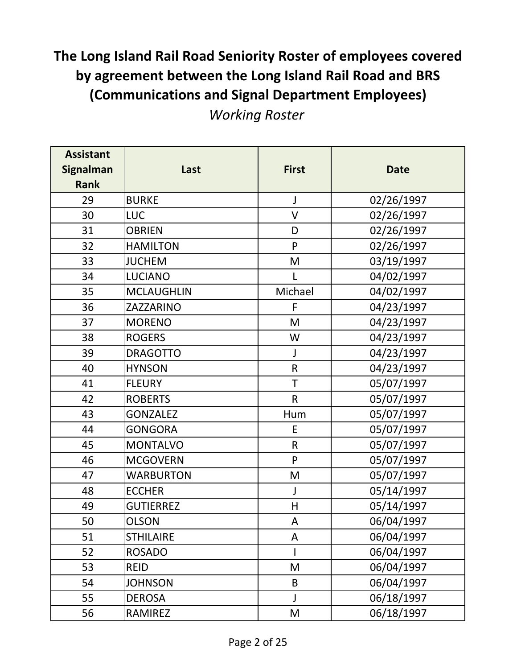| <b>Assistant</b><br><b>Signalman</b> | Last              | <b>First</b> | <b>Date</b> |
|--------------------------------------|-------------------|--------------|-------------|
| <b>Rank</b>                          |                   |              |             |
| 29                                   | <b>BURKE</b>      | $\mathsf J$  | 02/26/1997  |
| 30                                   | <b>LUC</b>        | $\vee$       | 02/26/1997  |
| 31                                   | <b>OBRIEN</b>     | D            | 02/26/1997  |
| 32                                   | <b>HAMILTON</b>   | P            | 02/26/1997  |
| 33                                   | <b>JUCHEM</b>     | M            | 03/19/1997  |
| 34                                   | <b>LUCIANO</b>    |              | 04/02/1997  |
| 35                                   | <b>MCLAUGHLIN</b> | Michael      | 04/02/1997  |
| 36                                   | ZAZZARINO         | F            | 04/23/1997  |
| 37                                   | <b>MORENO</b>     | M            | 04/23/1997  |
| 38                                   | <b>ROGERS</b>     | W            | 04/23/1997  |
| 39                                   | <b>DRAGOTTO</b>   | J            | 04/23/1997  |
| 40                                   | <b>HYNSON</b>     | $\mathsf R$  | 04/23/1997  |
| 41                                   | <b>FLEURY</b>     | T            | 05/07/1997  |
| 42                                   | <b>ROBERTS</b>    | $\mathsf{R}$ | 05/07/1997  |
| 43                                   | <b>GONZALEZ</b>   | Hum          | 05/07/1997  |
| 44                                   | <b>GONGORA</b>    | E            | 05/07/1997  |
| 45                                   | <b>MONTALVO</b>   | $\mathsf R$  | 05/07/1997  |
| 46                                   | <b>MCGOVERN</b>   | P            | 05/07/1997  |
| 47                                   | <b>WARBURTON</b>  | M            | 05/07/1997  |
| 48                                   | <b>ECCHER</b>     | J            | 05/14/1997  |
| 49                                   | <b>GUTIERREZ</b>  | H            | 05/14/1997  |
| 50                                   | <b>OLSON</b>      | A            | 06/04/1997  |
| 51                                   | <b>STHILAIRE</b>  | A            | 06/04/1997  |
| 52                                   | <b>ROSADO</b>     |              | 06/04/1997  |
| 53                                   | <b>REID</b>       | M            | 06/04/1997  |
| 54                                   | <b>JOHNSON</b>    | B            | 06/04/1997  |
| 55                                   | <b>DEROSA</b>     | J            | 06/18/1997  |
| 56                                   | <b>RAMIREZ</b>    | M            | 06/18/1997  |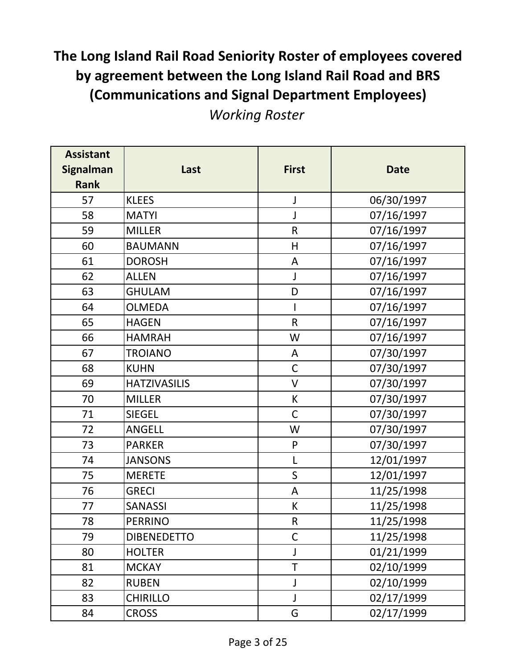| <b>Assistant</b> |                     |              |             |
|------------------|---------------------|--------------|-------------|
| <b>Signalman</b> | Last                | <b>First</b> | <b>Date</b> |
| <b>Rank</b>      |                     |              |             |
| 57               | <b>KLEES</b>        | J            | 06/30/1997  |
| 58               | <b>MATYI</b>        | J            | 07/16/1997  |
| 59               | <b>MILLER</b>       | $\mathsf R$  | 07/16/1997  |
| 60               | <b>BAUMANN</b>      | H            | 07/16/1997  |
| 61               | <b>DOROSH</b>       | A            | 07/16/1997  |
| 62               | <b>ALLEN</b>        | J            | 07/16/1997  |
| 63               | <b>GHULAM</b>       | D            | 07/16/1997  |
| 64               | <b>OLMEDA</b>       |              | 07/16/1997  |
| 65               | <b>HAGEN</b>        | ${\sf R}$    | 07/16/1997  |
| 66               | <b>HAMRAH</b>       | W            | 07/16/1997  |
| 67               | <b>TROIANO</b>      | A            | 07/30/1997  |
| 68               | <b>KUHN</b>         | $\mathsf C$  | 07/30/1997  |
| 69               | <b>HATZIVASILIS</b> | $\mathsf{V}$ | 07/30/1997  |
| 70               | <b>MILLER</b>       | К            | 07/30/1997  |
| 71               | <b>SIEGEL</b>       | $\mathsf C$  | 07/30/1997  |
| 72               | ANGELL              | W            | 07/30/1997  |
| 73               | <b>PARKER</b>       | ${\sf P}$    | 07/30/1997  |
| 74               | <b>JANSONS</b>      | L            | 12/01/1997  |
| 75               | <b>MERETE</b>       | $\mathsf S$  | 12/01/1997  |
| 76               | <b>GRECI</b>        | A            | 11/25/1998  |
| 77               | <b>SANASSI</b>      | К            | 11/25/1998  |
| 78               | <b>PERRINO</b>      | $\mathsf R$  | 11/25/1998  |
| 79               | <b>DIBENEDETTO</b>  | $\mathsf{C}$ | 11/25/1998  |
| 80               | <b>HOLTER</b>       | J            | 01/21/1999  |
| 81               | <b>MCKAY</b>        | T            | 02/10/1999  |
| 82               | <b>RUBEN</b>        | J            | 02/10/1999  |
| 83               | <b>CHIRILLO</b>     | J            | 02/17/1999  |
| 84               | <b>CROSS</b>        | G            | 02/17/1999  |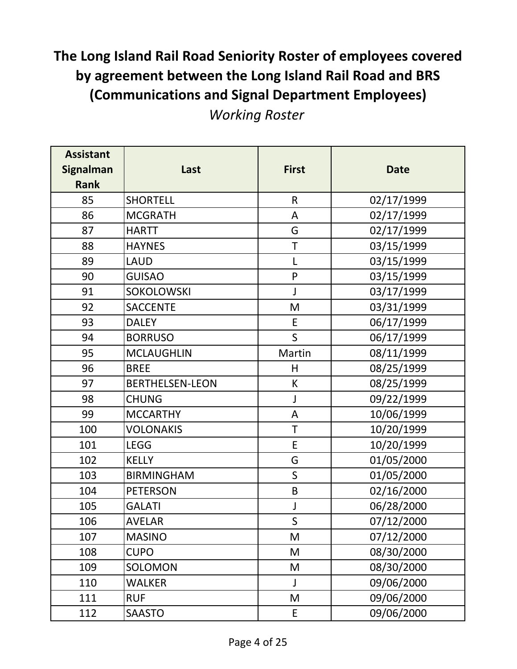| <b>Assistant</b><br><b>Signalman</b><br><b>Rank</b> | Last                   | <b>First</b> | <b>Date</b> |
|-----------------------------------------------------|------------------------|--------------|-------------|
| 85                                                  | <b>SHORTELL</b>        | $\mathsf R$  | 02/17/1999  |
| 86                                                  | <b>MCGRATH</b>         | A            | 02/17/1999  |
| 87                                                  | <b>HARTT</b>           | G            | 02/17/1999  |
| 88                                                  | <b>HAYNES</b>          | $\top$       | 03/15/1999  |
| 89                                                  | <b>LAUD</b>            | L            | 03/15/1999  |
| 90                                                  | <b>GUISAO</b>          | $\mathsf{P}$ | 03/15/1999  |
| 91                                                  | <b>SOKOLOWSKI</b>      | $\mathsf{J}$ | 03/17/1999  |
| 92                                                  | <b>SACCENTE</b>        | M            | 03/31/1999  |
| 93                                                  | <b>DALEY</b>           | E            | 06/17/1999  |
| 94                                                  | <b>BORRUSO</b>         | $\mathsf{S}$ | 06/17/1999  |
| 95                                                  | <b>MCLAUGHLIN</b>      | Martin       | 08/11/1999  |
| 96                                                  | <b>BREE</b>            | H            | 08/25/1999  |
| 97                                                  | <b>BERTHELSEN-LEON</b> | K            | 08/25/1999  |
| 98                                                  | <b>CHUNG</b>           | J            | 09/22/1999  |
| 99                                                  | <b>MCCARTHY</b>        | A            | 10/06/1999  |
| 100                                                 | <b>VOLONAKIS</b>       | $\top$       | 10/20/1999  |
| 101                                                 | <b>LEGG</b>            | E            | 10/20/1999  |
| 102                                                 | <b>KELLY</b>           | G            | 01/05/2000  |
| 103                                                 | <b>BIRMINGHAM</b>      | $\mathsf{S}$ | 01/05/2000  |
| 104                                                 | <b>PETERSON</b>        | B            | 02/16/2000  |
| 105                                                 | GALATI                 | J            | 06/28/2000  |
| 106                                                 | AVELAR                 | $\mathsf S$  | 07/12/2000  |
| 107                                                 | <b>MASINO</b>          | M            | 07/12/2000  |
| 108                                                 | <b>CUPO</b>            | M            | 08/30/2000  |
| 109                                                 | <b>SOLOMON</b>         | M            | 08/30/2000  |
| 110                                                 | WALKER                 | J            | 09/06/2000  |
| 111                                                 | <b>RUF</b>             | M            | 09/06/2000  |
| 112                                                 | SAASTO                 | E            | 09/06/2000  |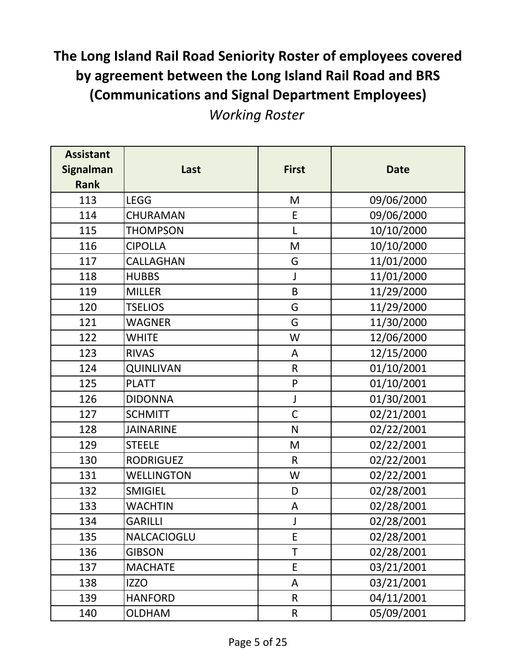| <b>Assistant</b><br><b>Signalman</b><br><b>Rank</b> | Last               | <b>First</b> | <b>Date</b> |
|-----------------------------------------------------|--------------------|--------------|-------------|
| 113                                                 | LEGG               | M            | 09/06/2000  |
| 114                                                 | CHURAMAN           | E            | 09/06/2000  |
| 115                                                 | <b>THOMPSON</b>    | L            | 10/10/2000  |
| 116                                                 | <b>CIPOLLA</b>     | M            | 10/10/2000  |
| 117                                                 | CALLAGHAN          | G            | 11/01/2000  |
| 118                                                 | <b>HUBBS</b>       | J            | 11/01/2000  |
| 119                                                 | <b>MILLER</b>      | $\sf B$      | 11/29/2000  |
| 120                                                 | <b>TSELIOS</b>     | G            | 11/29/2000  |
| 121                                                 | WAGNER             | G            | 11/30/2000  |
| 122                                                 | <b>WHITE</b>       | W            | 12/06/2000  |
| 123                                                 | <b>RIVAS</b>       | A            | 12/15/2000  |
| 124                                                 | <b>QUINLIVAN</b>   | $\mathsf R$  | 01/10/2001  |
| 125                                                 | <b>PLATT</b>       | ${\sf P}$    | 01/10/2001  |
| 126                                                 | <b>DIDONNA</b>     | J            | 01/30/2001  |
| 127                                                 | <b>SCHMITT</b>     | $\mathsf C$  | 02/21/2001  |
| 128                                                 | <b>JAINARINE</b>   | $\mathsf{N}$ | 02/22/2001  |
| 129                                                 | <b>STEELE</b>      | M            | 02/22/2001  |
| 130                                                 | <b>RODRIGUEZ</b>   | $\mathsf{R}$ | 02/22/2001  |
| 131                                                 | <b>WELLINGTON</b>  | W            | 02/22/2001  |
| 132                                                 | <b>SMIGIEL</b>     | D            | 02/28/2001  |
| 133                                                 | <b>WACHTIN</b>     | A            | 02/28/2001  |
| 134                                                 | <b>GARILLI</b>     |              | 02/28/2001  |
| 135                                                 | <b>NALCACIOGLU</b> | E            | 02/28/2001  |
| 136                                                 | <b>GIBSON</b>      | T            | 02/28/2001  |
| 137                                                 | <b>MACHATE</b>     | E            | 03/21/2001  |
| 138                                                 | IZZO               | A            | 03/21/2001  |
| 139                                                 | <b>HANFORD</b>     | $\mathsf{R}$ | 04/11/2001  |
| 140                                                 | <b>OLDHAM</b>      | $\sf R$      | 05/09/2001  |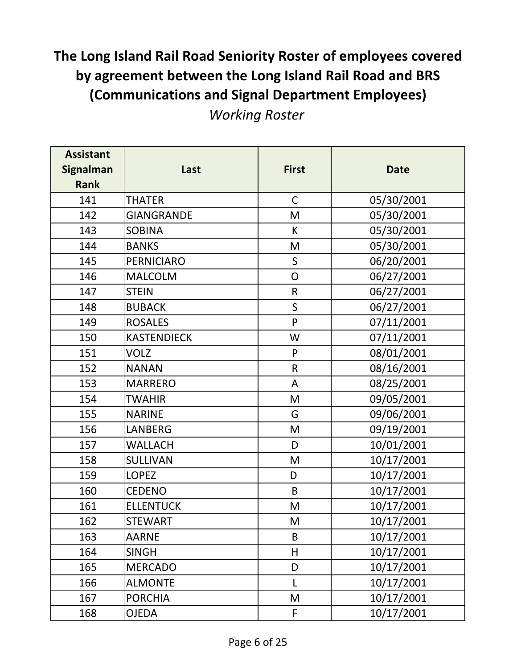| <b>Assistant</b><br><b>Signalman</b><br><b>Rank</b> | Last               | <b>First</b>  | <b>Date</b> |
|-----------------------------------------------------|--------------------|---------------|-------------|
| 141                                                 | <b>THATER</b>      | $\mathsf C$   | 05/30/2001  |
| 142                                                 | <b>GIANGRANDE</b>  | M             | 05/30/2001  |
| 143                                                 | <b>SOBINA</b>      | K             | 05/30/2001  |
| 144                                                 | <b>BANKS</b>       | M             | 05/30/2001  |
| 145                                                 | <b>PERNICIARO</b>  | $\mathsf{S}$  | 06/20/2001  |
| 146                                                 | <b>MALCOLM</b>     | ${\mathsf O}$ | 06/27/2001  |
| 147                                                 | <b>STEIN</b>       | $\mathsf{R}$  | 06/27/2001  |
| 148                                                 | <b>BUBACK</b>      | $\mathsf S$   | 06/27/2001  |
| 149                                                 | <b>ROSALES</b>     | P             | 07/11/2001  |
| 150                                                 | <b>KASTENDIECK</b> | W             | 07/11/2001  |
| 151                                                 | <b>VOLZ</b>        | P             | 08/01/2001  |
| 152                                                 | <b>NANAN</b>       | ${\sf R}$     | 08/16/2001  |
| 153                                                 | <b>MARRERO</b>     | A             | 08/25/2001  |
| 154                                                 | <b>TWAHIR</b>      | M             | 09/05/2001  |
| 155                                                 | <b>NARINE</b>      | G             | 09/06/2001  |
| 156                                                 | LANBERG            | M             | 09/19/2001  |
| 157                                                 | WALLACH            | D             | 10/01/2001  |
| 158                                                 | <b>SULLIVAN</b>    | M             | 10/17/2001  |
| 159                                                 | <b>LOPEZ</b>       | D             | 10/17/2001  |
| 160                                                 | <b>CEDENO</b>      | B             | 10/17/2001  |
| 161                                                 | <b>ELLENTUCK</b>   | M             | 10/17/2001  |
| 162                                                 | <b>STEWART</b>     | M             | 10/17/2001  |
| 163                                                 | <b>AARNE</b>       | B             | 10/17/2001  |
| 164                                                 | SINGH              | H             | 10/17/2001  |
| 165                                                 | <b>MERCADO</b>     | D             | 10/17/2001  |
| 166                                                 | <b>ALMONTE</b>     | L             | 10/17/2001  |
| 167                                                 | <b>PORCHIA</b>     | M             | 10/17/2001  |
| 168                                                 | OJEDA              | F             | 10/17/2001  |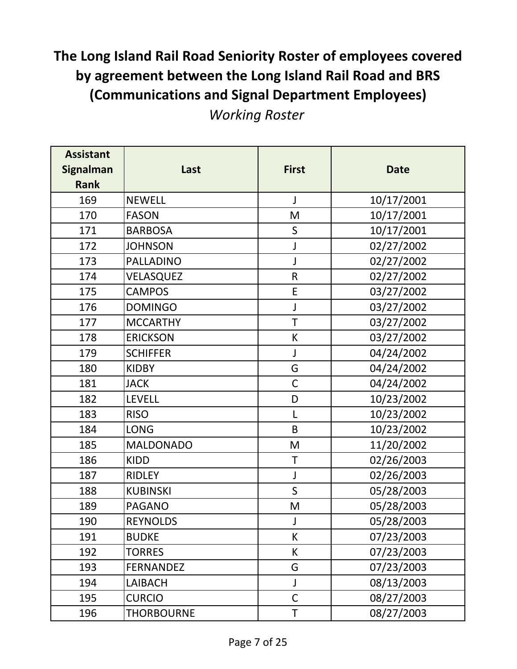| <b>Assistant</b><br><b>Signalman</b><br><b>Rank</b> | Last              | <b>First</b> | <b>Date</b> |
|-----------------------------------------------------|-------------------|--------------|-------------|
| 169                                                 | <b>NEWELL</b>     | J            | 10/17/2001  |
| 170                                                 | <b>FASON</b>      | M            | 10/17/2001  |
| 171                                                 | <b>BARBOSA</b>    | $\mathsf S$  | 10/17/2001  |
| 172                                                 | <b>JOHNSON</b>    | J            | 02/27/2002  |
| 173                                                 | <b>PALLADINO</b>  | J            | 02/27/2002  |
| 174                                                 | VELASQUEZ         | $\mathsf R$  | 02/27/2002  |
| 175                                                 | <b>CAMPOS</b>     | E            | 03/27/2002  |
| 176                                                 | <b>DOMINGO</b>    | J            | 03/27/2002  |
| 177                                                 | <b>MCCARTHY</b>   | T            | 03/27/2002  |
| 178                                                 | <b>ERICKSON</b>   | К            | 03/27/2002  |
| 179                                                 | <b>SCHIFFER</b>   | J            | 04/24/2002  |
| 180                                                 | <b>KIDBY</b>      | G            | 04/24/2002  |
| 181                                                 | <b>JACK</b>       | $\mathsf C$  | 04/24/2002  |
| 182                                                 | <b>LEVELL</b>     | D            | 10/23/2002  |
| 183                                                 | <b>RISO</b>       | L            | 10/23/2002  |
| 184                                                 | <b>LONG</b>       | B            | 10/23/2002  |
| 185                                                 | <b>MALDONADO</b>  | M            | 11/20/2002  |
| 186                                                 | <b>KIDD</b>       | T            | 02/26/2003  |
| 187                                                 | <b>RIDLEY</b>     | J            | 02/26/2003  |
| 188                                                 | <b>KUBINSKI</b>   | S            | 05/28/2003  |
| 189                                                 | <b>PAGANO</b>     | M            | 05/28/2003  |
| 190                                                 | <b>REYNOLDS</b>   |              | 05/28/2003  |
| 191                                                 | <b>BUDKE</b>      | K            | 07/23/2003  |
| 192                                                 | <b>TORRES</b>     | K            | 07/23/2003  |
| 193                                                 | <b>FERNANDEZ</b>  | G            | 07/23/2003  |
| 194                                                 | <b>LAIBACH</b>    | J            | 08/13/2003  |
| 195                                                 | <b>CURCIO</b>     | $\mathsf C$  | 08/27/2003  |
| 196                                                 | <b>THORBOURNE</b> | Τ            | 08/27/2003  |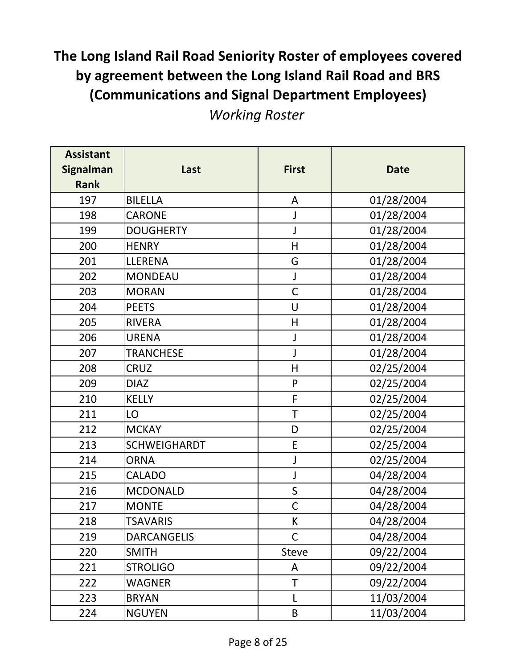| <b>Assistant</b><br><b>Signalman</b><br><b>Rank</b> | Last                | <b>First</b> | <b>Date</b> |
|-----------------------------------------------------|---------------------|--------------|-------------|
| 197                                                 | <b>BILELLA</b>      | A            | 01/28/2004  |
| 198                                                 | <b>CARONE</b>       | J            | 01/28/2004  |
| 199                                                 | <b>DOUGHERTY</b>    | J            | 01/28/2004  |
| 200                                                 | <b>HENRY</b>        | $\mathsf{H}$ | 01/28/2004  |
| 201                                                 | LLERENA             | G            | 01/28/2004  |
| 202                                                 | <b>MONDEAU</b>      | J            | 01/28/2004  |
| 203                                                 | <b>MORAN</b>        | $\mathsf{C}$ | 01/28/2004  |
| 204                                                 | <b>PEETS</b>        | U            | 01/28/2004  |
| 205                                                 | <b>RIVERA</b>       | $\mathsf{H}$ | 01/28/2004  |
| 206                                                 | <b>URENA</b>        | J            | 01/28/2004  |
| 207                                                 | <b>TRANCHESE</b>    | J            | 01/28/2004  |
| 208                                                 | <b>CRUZ</b>         | $\mathsf{H}$ | 02/25/2004  |
| 209                                                 | <b>DIAZ</b>         | ${\sf P}$    | 02/25/2004  |
| 210                                                 | <b>KELLY</b>        | F            | 02/25/2004  |
| 211                                                 | LO                  | $\top$       | 02/25/2004  |
| 212                                                 | <b>MCKAY</b>        | D            | 02/25/2004  |
| 213                                                 | <b>SCHWEIGHARDT</b> | E            | 02/25/2004  |
| 214                                                 | <b>ORNA</b>         | J            | 02/25/2004  |
| 215                                                 | <b>CALADO</b>       | J            | 04/28/2004  |
| 216                                                 | <b>MCDONALD</b>     | $\sf S$      | 04/28/2004  |
| 217                                                 | <b>MONTE</b>        | $\mathsf C$  | 04/28/2004  |
| 218                                                 | <b>TSAVARIS</b>     | K            | 04/28/2004  |
| 219                                                 | <b>DARCANGELIS</b>  | $\mathsf{C}$ | 04/28/2004  |
| 220                                                 | <b>SMITH</b>        | <b>Steve</b> | 09/22/2004  |
| 221                                                 | <b>STROLIGO</b>     | A            | 09/22/2004  |
| 222                                                 | WAGNER              | T            | 09/22/2004  |
| 223                                                 | <b>BRYAN</b>        | L            | 11/03/2004  |
| 224                                                 | <b>NGUYEN</b>       | $\sf B$      | 11/03/2004  |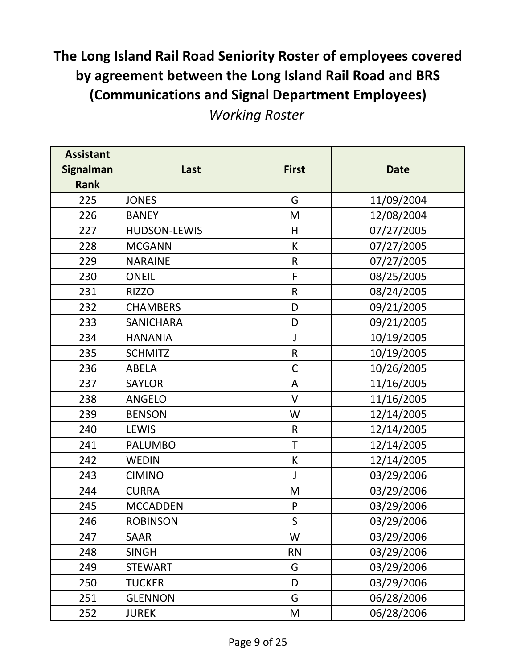*Working Roster*

| <b>Assistant</b><br><b>Signalman</b><br><b>Rank</b> | Last             | <b>First</b> | <b>Date</b> |
|-----------------------------------------------------|------------------|--------------|-------------|
| 225                                                 | <b>JONES</b>     | G            | 11/09/2004  |
| 226                                                 | <b>BANEY</b>     | M            | 12/08/2004  |
| 227                                                 | HUDSON-LEWIS     | H            | 07/27/2005  |
| 228                                                 | <b>MCGANN</b>    | К            | 07/27/2005  |
| 229                                                 | <b>NARAINE</b>   | $\mathsf R$  | 07/27/2005  |
| 230                                                 | <b>ONEIL</b>     | F            | 08/25/2005  |
| 231                                                 | <b>RIZZO</b>     | $\mathsf{R}$ | 08/24/2005  |
| 232                                                 | <b>CHAMBERS</b>  | D            | 09/21/2005  |
| 233                                                 | <b>SANICHARA</b> | D            | 09/21/2005  |
| 234                                                 | <b>HANANIA</b>   | J            | 10/19/2005  |
| 235                                                 | <b>SCHMITZ</b>   | $\mathsf R$  | 10/19/2005  |
| 236                                                 | <b>ABELA</b>     | $\mathsf C$  | 10/26/2005  |
| 237                                                 | <b>SAYLOR</b>    | A            | 11/16/2005  |
| 238                                                 | <b>ANGELO</b>    | $\vee$       | 11/16/2005  |
| 239                                                 | <b>BENSON</b>    | W            | 12/14/2005  |
| 240                                                 | <b>LEWIS</b>     | $\mathsf R$  | 12/14/2005  |
| 241                                                 | <b>PALUMBO</b>   | T            | 12/14/2005  |
| 242                                                 | <b>WEDIN</b>     | К            | 12/14/2005  |
| 243                                                 | <b>CIMINO</b>    | J            | 03/29/2006  |
| 244                                                 | <b>CURRA</b>     | M            | 03/29/2006  |
| 245                                                 | <b>MCCADDEN</b>  | $\mathsf{P}$ | 03/29/2006  |
| 246                                                 | <b>ROBINSON</b>  | $\mathsf{S}$ | 03/29/2006  |
| 247                                                 | SAAR             | W            | 03/29/2006  |
| 248                                                 | <b>SINGH</b>     | <b>RN</b>    | 03/29/2006  |
| 249                                                 | <b>STEWART</b>   | G            | 03/29/2006  |
| 250                                                 | <b>TUCKER</b>    | D            | 03/29/2006  |
| 251                                                 | <b>GLENNON</b>   | G            | 06/28/2006  |
| 252                                                 | <b>JUREK</b>     | M            | 06/28/2006  |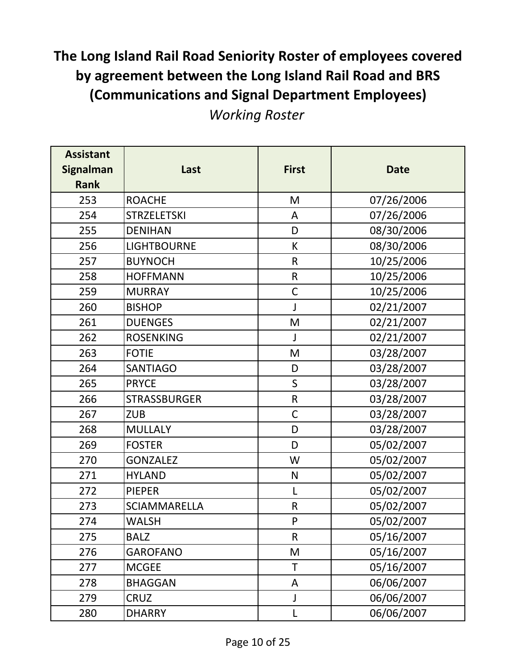*Working Roster*

| <b>Assistant</b><br><b>Signalman</b><br><b>Rank</b> | Last                | <b>First</b> | <b>Date</b> |
|-----------------------------------------------------|---------------------|--------------|-------------|
| 253                                                 | <b>ROACHE</b>       | M            | 07/26/2006  |
| 254                                                 | <b>STRZELETSKI</b>  | A            | 07/26/2006  |
| 255                                                 | <b>DENIHAN</b>      | D            | 08/30/2006  |
| 256                                                 | <b>LIGHTBOURNE</b>  | К            | 08/30/2006  |
| 257                                                 | <b>BUYNOCH</b>      | $\mathsf{R}$ | 10/25/2006  |
| 258                                                 | <b>HOFFMANN</b>     | $\mathsf R$  | 10/25/2006  |
| 259                                                 | <b>MURRAY</b>       | $\mathsf{C}$ | 10/25/2006  |
| 260                                                 | <b>BISHOP</b>       | J            | 02/21/2007  |
| 261                                                 | <b>DUENGES</b>      | M            | 02/21/2007  |
| 262                                                 | <b>ROSENKING</b>    | J            | 02/21/2007  |
| 263                                                 | <b>FOTIE</b>        | M            | 03/28/2007  |
| 264                                                 | <b>SANTIAGO</b>     | D            | 03/28/2007  |
| 265                                                 | <b>PRYCE</b>        | $\mathsf{S}$ | 03/28/2007  |
| 266                                                 | <b>STRASSBURGER</b> | $\mathsf R$  | 03/28/2007  |
| 267                                                 | <b>ZUB</b>          | $\mathsf C$  | 03/28/2007  |
| 268                                                 | <b>MULLALY</b>      | D            | 03/28/2007  |
| 269                                                 | <b>FOSTER</b>       | D            | 05/02/2007  |
| 270                                                 | <b>GONZALEZ</b>     | W            | 05/02/2007  |
| 271                                                 | <b>HYLAND</b>       | $\mathsf{N}$ | 05/02/2007  |
| 272                                                 | <b>PIEPER</b>       | L            | 05/02/2007  |
| 273                                                 | <b>SCIAMMARELLA</b> | ${\sf R}$    | 05/02/2007  |
| 274                                                 | <b>WALSH</b>        | P            | 05/02/2007  |
| 275                                                 | <b>BALZ</b>         | $\mathsf{R}$ | 05/16/2007  |
| 276                                                 | <b>GAROFANO</b>     | M            | 05/16/2007  |
| 277                                                 | <b>MCGEE</b>        | T            | 05/16/2007  |
| 278                                                 | BHAGGAN             | A            | 06/06/2007  |
| 279                                                 | <b>CRUZ</b>         | J            | 06/06/2007  |
| 280                                                 | <b>DHARRY</b>       | L            | 06/06/2007  |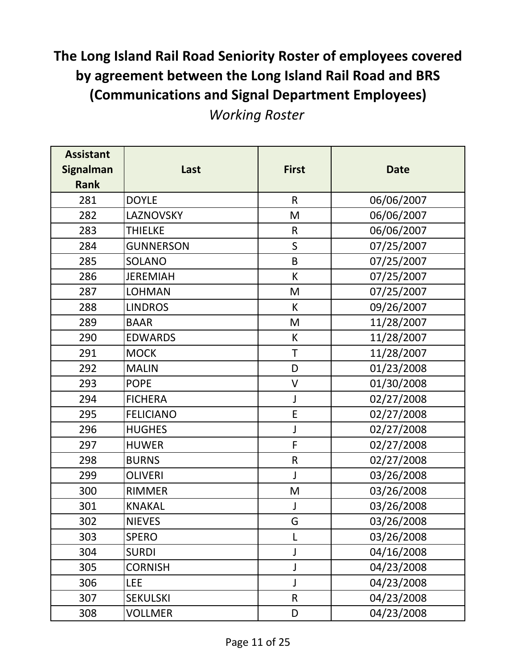| <b>Assistant</b><br><b>Signalman</b><br><b>Rank</b> | Last             | <b>First</b> | <b>Date</b> |
|-----------------------------------------------------|------------------|--------------|-------------|
| 281                                                 | <b>DOYLE</b>     | $\mathsf{R}$ | 06/06/2007  |
| 282                                                 | LAZNOVSKY        | M            | 06/06/2007  |
| 283                                                 | <b>THIELKE</b>   | $\mathsf{R}$ | 06/06/2007  |
| 284                                                 | <b>GUNNERSON</b> | $\mathsf S$  | 07/25/2007  |
| 285                                                 | <b>SOLANO</b>    | B            | 07/25/2007  |
| 286                                                 | <b>JEREMIAH</b>  | К            | 07/25/2007  |
| 287                                                 | LOHMAN           | M            | 07/25/2007  |
| 288                                                 | <b>LINDROS</b>   | K            | 09/26/2007  |
| 289                                                 | <b>BAAR</b>      | M            | 11/28/2007  |
| 290                                                 | <b>EDWARDS</b>   | К            | 11/28/2007  |
| 291                                                 | <b>MOCK</b>      | T            | 11/28/2007  |
| 292                                                 | <b>MALIN</b>     | D            | 01/23/2008  |
| 293                                                 | <b>POPE</b>      | $\mathsf{V}$ | 01/30/2008  |
| 294                                                 | <b>FICHERA</b>   | J            | 02/27/2008  |
| 295                                                 | <b>FELICIANO</b> | E            | 02/27/2008  |
| 296                                                 | <b>HUGHES</b>    | J            | 02/27/2008  |
| 297                                                 | <b>HUWER</b>     | F            | 02/27/2008  |
| 298                                                 | <b>BURNS</b>     | ${\sf R}$    | 02/27/2008  |
| 299                                                 | <b>OLIVERI</b>   | J            | 03/26/2008  |
| 300                                                 | <b>RIMMER</b>    | M            | 03/26/2008  |
| 301                                                 | <b>KNAKAL</b>    | J            | 03/26/2008  |
| 302                                                 | <b>NIEVES</b>    | G            | 03/26/2008  |
| 303                                                 | <b>SPERO</b>     | L            | 03/26/2008  |
| 304                                                 | <b>SURDI</b>     | J            | 04/16/2008  |
| 305                                                 | <b>CORNISH</b>   |              | 04/23/2008  |
| 306                                                 | LEE              | J            | 04/23/2008  |
| 307                                                 | <b>SEKULSKI</b>  | $\mathsf R$  | 04/23/2008  |
| 308                                                 | <b>VOLLMER</b>   | D            | 04/23/2008  |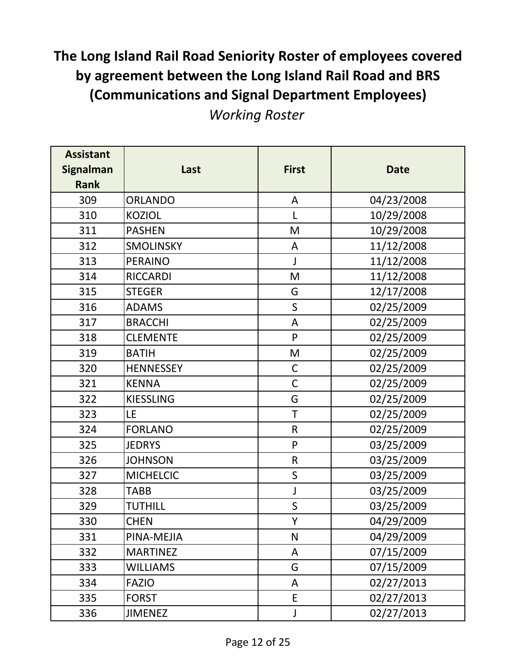| <b>Assistant</b><br><b>Signalman</b><br><b>Rank</b> | Last             | <b>First</b> | <b>Date</b> |
|-----------------------------------------------------|------------------|--------------|-------------|
| 309                                                 | ORLANDO          | A            | 04/23/2008  |
| 310                                                 | <b>KOZIOL</b>    | L            | 10/29/2008  |
| 311                                                 | <b>PASHEN</b>    | M            | 10/29/2008  |
| 312                                                 | <b>SMOLINSKY</b> | A            | 11/12/2008  |
| 313                                                 | <b>PERAINO</b>   | J            | 11/12/2008  |
| 314                                                 | <b>RICCARDI</b>  | M            | 11/12/2008  |
| 315                                                 | <b>STEGER</b>    | G            | 12/17/2008  |
| 316                                                 | <b>ADAMS</b>     | $\mathsf{S}$ | 02/25/2009  |
| 317                                                 | <b>BRACCHI</b>   | A            | 02/25/2009  |
| 318                                                 | <b>CLEMENTE</b>  | P            | 02/25/2009  |
| 319                                                 | <b>BATIH</b>     | M            | 02/25/2009  |
| 320                                                 | <b>HENNESSEY</b> | $\mathsf C$  | 02/25/2009  |
| 321                                                 | <b>KENNA</b>     | $\mathsf C$  | 02/25/2009  |
| 322                                                 | <b>KIESSLING</b> | G            | 02/25/2009  |
| 323                                                 | LE               | $\top$       | 02/25/2009  |
| 324                                                 | <b>FORLANO</b>   | $\mathsf R$  | 02/25/2009  |
| 325                                                 | <b>JEDRYS</b>    | ${\sf P}$    | 03/25/2009  |
| 326                                                 | <b>JOHNSON</b>   | ${\sf R}$    | 03/25/2009  |
| 327                                                 | <b>MICHELCIC</b> | $\mathsf S$  | 03/25/2009  |
| 328                                                 | <b>TABB</b>      | J            | 03/25/2009  |
| 329                                                 | <b>TUTHILL</b>   | S            | 03/25/2009  |
| 330                                                 | <b>CHEN</b>      | Y            | 04/29/2009  |
| 331                                                 | PINA-MEJIA       | N            | 04/29/2009  |
| 332                                                 | <b>MARTINEZ</b>  | A            | 07/15/2009  |
| 333                                                 | <b>WILLIAMS</b>  | G            | 07/15/2009  |
| 334                                                 | <b>FAZIO</b>     | A            | 02/27/2013  |
| 335                                                 | <b>FORST</b>     | E            | 02/27/2013  |
| 336                                                 | <b>JIMENEZ</b>   | J            | 02/27/2013  |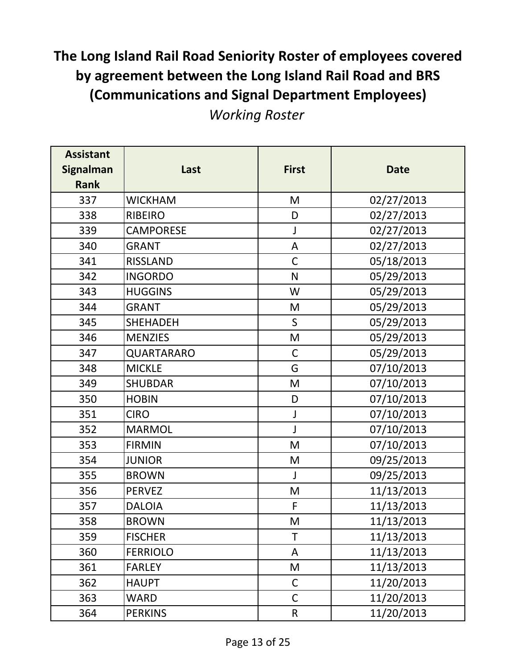| <b>Assistant</b><br><b>Signalman</b><br><b>Rank</b> | Last             | <b>First</b> | <b>Date</b> |
|-----------------------------------------------------|------------------|--------------|-------------|
| 337                                                 | <b>WICKHAM</b>   | M            | 02/27/2013  |
| 338                                                 | <b>RIBEIRO</b>   | D            | 02/27/2013  |
| 339                                                 | <b>CAMPORESE</b> | J            | 02/27/2013  |
| 340                                                 | <b>GRANT</b>     | A            | 02/27/2013  |
| 341                                                 | <b>RISSLAND</b>  | $\mathsf C$  | 05/18/2013  |
| 342                                                 | <b>INGORDO</b>   | N            | 05/29/2013  |
| 343                                                 | <b>HUGGINS</b>   | W            | 05/29/2013  |
| 344                                                 | <b>GRANT</b>     | M            | 05/29/2013  |
| 345                                                 | <b>SHEHADEH</b>  | $\mathsf{S}$ | 05/29/2013  |
| 346                                                 | <b>MENZIES</b>   | M            | 05/29/2013  |
| 347                                                 | QUARTARARO       | $\mathsf C$  | 05/29/2013  |
| 348                                                 | <b>MICKLE</b>    | G            | 07/10/2013  |
| 349                                                 | <b>SHUBDAR</b>   | M            | 07/10/2013  |
| 350                                                 | <b>HOBIN</b>     | D            | 07/10/2013  |
| 351                                                 | <b>CIRO</b>      | J            | 07/10/2013  |
| 352                                                 | <b>MARMOL</b>    | J            | 07/10/2013  |
| 353                                                 | <b>FIRMIN</b>    | M            | 07/10/2013  |
| 354                                                 | <b>JUNIOR</b>    | M            | 09/25/2013  |
| 355                                                 | <b>BROWN</b>     | $\mathsf{I}$ | 09/25/2013  |
| 356                                                 | <b>PERVEZ</b>    | M            | 11/13/2013  |
| 357                                                 | <b>DALOIA</b>    | F            | 11/13/2013  |
| 358                                                 | <b>BROWN</b>     | M            | 11/13/2013  |
| 359                                                 | <b>FISCHER</b>   | T            | 11/13/2013  |
| 360                                                 | <b>FERRIOLO</b>  | A            | 11/13/2013  |
| 361                                                 | <b>FARLEY</b>    | M            | 11/13/2013  |
| 362                                                 | <b>HAUPT</b>     | $\mathsf{C}$ | 11/20/2013  |
| 363                                                 | <b>WARD</b>      | $\mathsf C$  | 11/20/2013  |
| 364                                                 | <b>PERKINS</b>   | $\mathsf R$  | 11/20/2013  |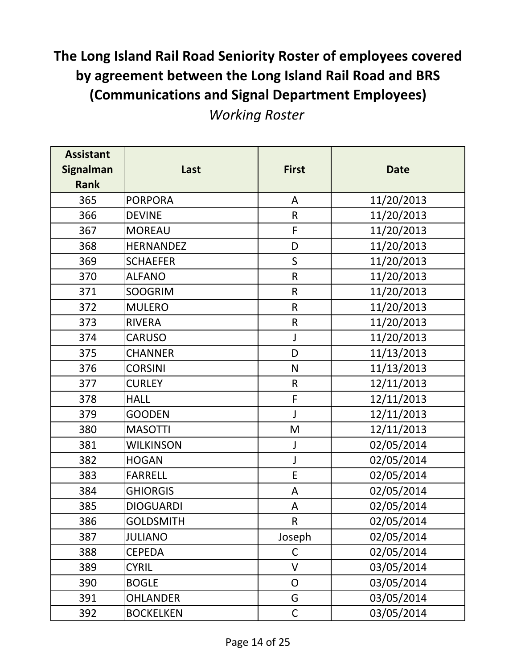| <b>Assistant</b><br><b>Signalman</b><br><b>Rank</b> | Last             | <b>First</b> | <b>Date</b> |
|-----------------------------------------------------|------------------|--------------|-------------|
| 365                                                 | <b>PORPORA</b>   | A            | 11/20/2013  |
| 366                                                 | <b>DEVINE</b>    | $\mathsf R$  | 11/20/2013  |
| 367                                                 | <b>MOREAU</b>    | F            | 11/20/2013  |
| 368                                                 | <b>HERNANDEZ</b> | D            | 11/20/2013  |
| 369                                                 | <b>SCHAEFER</b>  | $\mathsf{S}$ | 11/20/2013  |
| 370                                                 | <b>ALFANO</b>    | ${\sf R}$    | 11/20/2013  |
| 371                                                 | <b>SOOGRIM</b>   | $\mathsf{R}$ | 11/20/2013  |
| 372                                                 | <b>MULERO</b>    | $\mathsf R$  | 11/20/2013  |
| 373                                                 | <b>RIVERA</b>    | ${\sf R}$    | 11/20/2013  |
| 374                                                 | <b>CARUSO</b>    | $\mathsf{J}$ | 11/20/2013  |
| 375                                                 | <b>CHANNER</b>   | D            | 11/13/2013  |
| 376                                                 | <b>CORSINI</b>   | $\mathsf{N}$ | 11/13/2013  |
| 377                                                 | <b>CURLEY</b>    | $\mathsf R$  | 12/11/2013  |
| 378                                                 | <b>HALL</b>      | F            | 12/11/2013  |
| 379                                                 | <b>GOODEN</b>    | J            | 12/11/2013  |
| 380                                                 | <b>MASOTTI</b>   | M            | 12/11/2013  |
| 381                                                 | <b>WILKINSON</b> | J            | 02/05/2014  |
| 382                                                 | <b>HOGAN</b>     | J            | 02/05/2014  |
| 383                                                 | <b>FARRELL</b>   | E            | 02/05/2014  |
| 384                                                 | <b>GHIORGIS</b>  | A            | 02/05/2014  |
| 385                                                 | <b>DIOGUARDI</b> | A            | 02/05/2014  |
| 386                                                 | <b>GOLDSMITH</b> | $\sf R$      | 02/05/2014  |
| 387                                                 | <b>JULIANO</b>   | Joseph       | 02/05/2014  |
| 388                                                 | CEPEDA           | C            | 02/05/2014  |
| 389                                                 | <b>CYRIL</b>     | V            | 03/05/2014  |
| 390                                                 | <b>BOGLE</b>     | $\mathsf{O}$ | 03/05/2014  |
| 391                                                 | <b>OHLANDER</b>  | G            | 03/05/2014  |
| 392                                                 | <b>BOCKELKEN</b> | $\mathsf C$  | 03/05/2014  |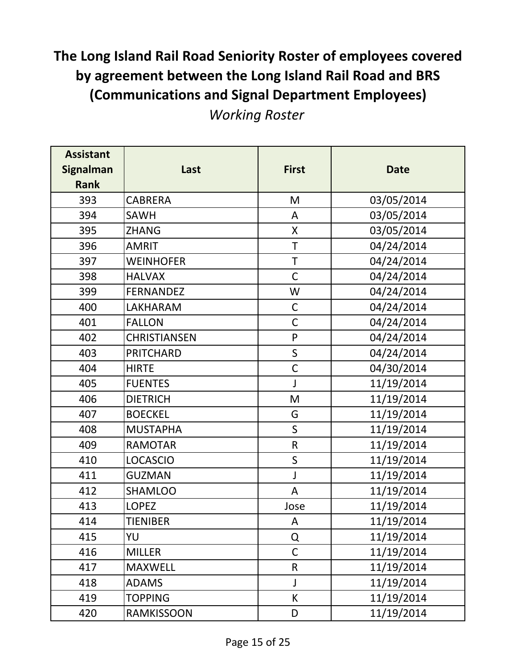| <b>Assistant</b><br><b>Signalman</b><br><b>Rank</b> | Last                | <b>First</b> | <b>Date</b> |
|-----------------------------------------------------|---------------------|--------------|-------------|
| 393                                                 | <b>CABRERA</b>      | M            | 03/05/2014  |
| 394                                                 | <b>SAWH</b>         | A            | 03/05/2014  |
| 395                                                 | <b>ZHANG</b>        | X            | 03/05/2014  |
| 396                                                 | <b>AMRIT</b>        | T            | 04/24/2014  |
| 397                                                 | <b>WEINHOFER</b>    | $\mathsf T$  | 04/24/2014  |
| 398                                                 | <b>HALVAX</b>       | $\mathsf C$  | 04/24/2014  |
| 399                                                 | <b>FERNANDEZ</b>    | W            | 04/24/2014  |
| 400                                                 | <b>LAKHARAM</b>     | $\mathsf C$  | 04/24/2014  |
| 401                                                 | <b>FALLON</b>       | $\mathsf C$  | 04/24/2014  |
| 402                                                 | <b>CHRISTIANSEN</b> | $\mathsf{P}$ | 04/24/2014  |
| 403                                                 | <b>PRITCHARD</b>    | $\sf S$      | 04/24/2014  |
| 404                                                 | <b>HIRTE</b>        | $\mathsf C$  | 04/30/2014  |
| 405                                                 | <b>FUENTES</b>      | J            | 11/19/2014  |
| 406                                                 | <b>DIETRICH</b>     | M            | 11/19/2014  |
| 407                                                 | <b>BOECKEL</b>      | G            | 11/19/2014  |
| 408                                                 | <b>MUSTAPHA</b>     | $\mathsf S$  | 11/19/2014  |
| 409                                                 | <b>RAMOTAR</b>      | $\mathsf R$  | 11/19/2014  |
| 410                                                 | <b>LOCASCIO</b>     | $\mathsf S$  | 11/19/2014  |
| 411                                                 | <b>GUZMAN</b>       | J            | 11/19/2014  |
| 412                                                 | <b>SHAMLOO</b>      | A            | 11/19/2014  |
| 413                                                 | <b>LOPEZ</b>        | Jose         | 11/19/2014  |
| 414                                                 | <b>TIENIBER</b>     | A            | 11/19/2014  |
| 415                                                 | YU                  | Q            | 11/19/2014  |
| 416                                                 | <b>MILLER</b>       | $\mathsf C$  | 11/19/2014  |
| 417                                                 | <b>MAXWELL</b>      | $\mathsf{R}$ | 11/19/2014  |
| 418                                                 | <b>ADAMS</b>        | J            | 11/19/2014  |
| 419                                                 | <b>TOPPING</b>      | K            | 11/19/2014  |
| 420                                                 | RAMKISSOON          | D            | 11/19/2014  |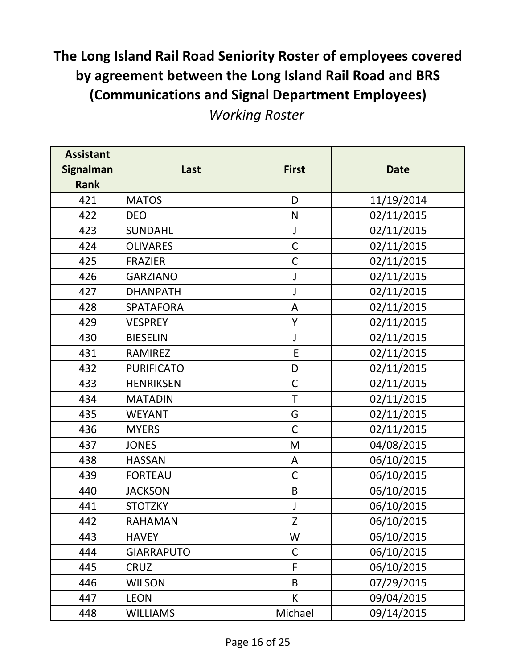| <b>Assistant</b> |                   |              |             |
|------------------|-------------------|--------------|-------------|
| <b>Signalman</b> | Last              | <b>First</b> | <b>Date</b> |
| <b>Rank</b>      |                   |              |             |
| 421              | <b>MATOS</b>      | D            | 11/19/2014  |
| 422              | <b>DEO</b>        | N            | 02/11/2015  |
| 423              | <b>SUNDAHL</b>    | J            | 02/11/2015  |
| 424              | <b>OLIVARES</b>   | $\mathsf C$  | 02/11/2015  |
| 425              | <b>FRAZIER</b>    | $\mathsf C$  | 02/11/2015  |
| 426              | <b>GARZIANO</b>   | J            | 02/11/2015  |
| 427              | <b>DHANPATH</b>   | J            | 02/11/2015  |
| 428              | <b>SPATAFORA</b>  | A            | 02/11/2015  |
| 429              | <b>VESPREY</b>    | Y            | 02/11/2015  |
| 430              | <b>BIESELIN</b>   | $\mathsf J$  | 02/11/2015  |
| 431              | <b>RAMIREZ</b>    | E            | 02/11/2015  |
| 432              | <b>PURIFICATO</b> | D            | 02/11/2015  |
| 433              | <b>HENRIKSEN</b>  | $\mathsf C$  | 02/11/2015  |
| 434              | <b>MATADIN</b>    | T            | 02/11/2015  |
| 435              | <b>WEYANT</b>     | G            | 02/11/2015  |
| 436              | <b>MYERS</b>      | $\mathsf{C}$ | 02/11/2015  |
| 437              | <b>JONES</b>      | M            | 04/08/2015  |
| 438              | <b>HASSAN</b>     | A            | 06/10/2015  |
| 439              | <b>FORTEAU</b>    | $\mathsf C$  | 06/10/2015  |
| 440              | <b>JACKSON</b>    | B            | 06/10/2015  |
| 441              | <b>STOTZKY</b>    | J            | 06/10/2015  |
| 442              | <b>RAHAMAN</b>    | Z            | 06/10/2015  |
| 443              | <b>HAVEY</b>      | W            | 06/10/2015  |
| 444              | <b>GIARRAPUTO</b> | $\mathsf C$  | 06/10/2015  |
| 445              | <b>CRUZ</b>       | F            | 06/10/2015  |
| 446              | <b>WILSON</b>     | B            | 07/29/2015  |
| 447              | <b>LEON</b>       | K            | 09/04/2015  |
| 448              | <b>WILLIAMS</b>   | Michael      | 09/14/2015  |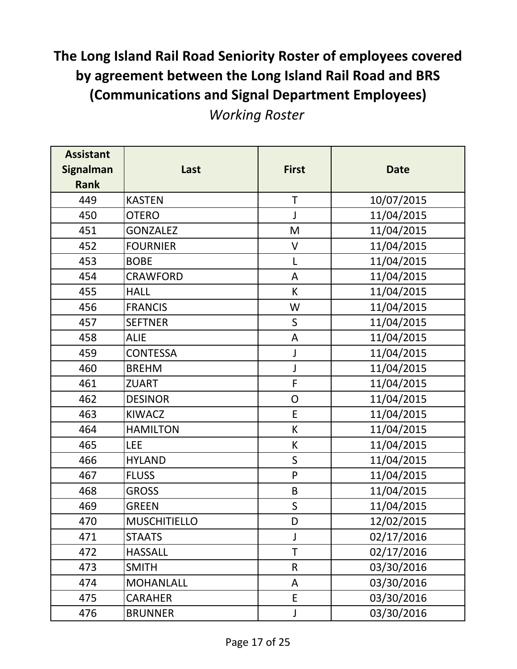| <b>Assistant</b><br><b>Signalman</b><br><b>Rank</b> | Last                | <b>First</b>  | <b>Date</b> |
|-----------------------------------------------------|---------------------|---------------|-------------|
| 449                                                 | <b>KASTEN</b>       | T             | 10/07/2015  |
| 450                                                 | <b>OTERO</b>        | J             | 11/04/2015  |
| 451                                                 | <b>GONZALEZ</b>     | M             | 11/04/2015  |
| 452                                                 | <b>FOURNIER</b>     | V             | 11/04/2015  |
| 453                                                 | <b>BOBE</b>         | L             | 11/04/2015  |
| 454                                                 | <b>CRAWFORD</b>     | A             | 11/04/2015  |
| 455                                                 | <b>HALL</b>         | K             | 11/04/2015  |
| 456                                                 | <b>FRANCIS</b>      | W             | 11/04/2015  |
| 457                                                 | <b>SEFTNER</b>      | $\mathsf{S}$  | 11/04/2015  |
| 458                                                 | <b>ALIE</b>         | A             | 11/04/2015  |
| 459                                                 | <b>CONTESSA</b>     | J             | 11/04/2015  |
| 460                                                 | <b>BREHM</b>        | J             | 11/04/2015  |
| 461                                                 | <b>ZUART</b>        | F             | 11/04/2015  |
| 462                                                 | <b>DESINOR</b>      | ${\mathsf O}$ | 11/04/2015  |
| 463                                                 | <b>KIWACZ</b>       | E             | 11/04/2015  |
| 464                                                 | <b>HAMILTON</b>     | K             | 11/04/2015  |
| 465                                                 | <b>LEE</b>          | K             | 11/04/2015  |
| 466                                                 | <b>HYLAND</b>       | $\mathsf S$   | 11/04/2015  |
| 467                                                 | <b>FLUSS</b>        | $\mathsf{P}$  | 11/04/2015  |
| 468                                                 | <b>GROSS</b>        | B             | 11/04/2015  |
| 469                                                 | <b>GREEN</b>        | S             | 11/04/2015  |
| 470                                                 | <b>MUSCHITIELLO</b> | D             | 12/02/2015  |
| 471                                                 | <b>STAATS</b>       | J             | 02/17/2016  |
| 472                                                 | <b>HASSALL</b>      | T             | 02/17/2016  |
| 473                                                 | <b>SMITH</b>        | $\mathsf{R}$  | 03/30/2016  |
| 474                                                 | <b>MOHANLALL</b>    | A             | 03/30/2016  |
| 475                                                 | <b>CARAHER</b>      | E             | 03/30/2016  |
| 476                                                 | <b>BRUNNER</b>      | J             | 03/30/2016  |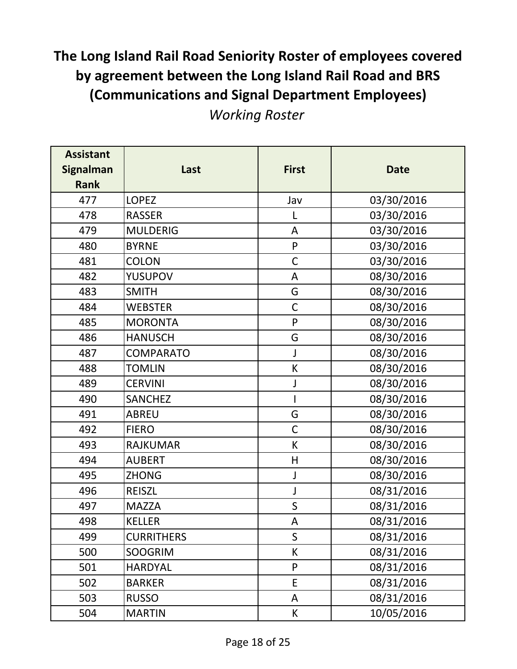| <b>Assistant</b><br><b>Signalman</b><br><b>Rank</b> | Last              | <b>First</b> | <b>Date</b> |
|-----------------------------------------------------|-------------------|--------------|-------------|
| 477                                                 | <b>LOPEZ</b>      | Jav          | 03/30/2016  |
| 478                                                 | <b>RASSER</b>     | L            | 03/30/2016  |
| 479                                                 | <b>MULDERIG</b>   | A            | 03/30/2016  |
| 480                                                 | <b>BYRNE</b>      | ${\sf P}$    | 03/30/2016  |
| 481                                                 | <b>COLON</b>      | $\mathsf C$  | 03/30/2016  |
| 482                                                 | <b>YUSUPOV</b>    | A            | 08/30/2016  |
| 483                                                 | <b>SMITH</b>      | G            | 08/30/2016  |
| 484                                                 | <b>WEBSTER</b>    | $\mathsf C$  | 08/30/2016  |
| 485                                                 | <b>MORONTA</b>    | ${\sf P}$    | 08/30/2016  |
| 486                                                 | <b>HANUSCH</b>    | G            | 08/30/2016  |
| 487                                                 | COMPARATO         | J            | 08/30/2016  |
| 488                                                 | <b>TOMLIN</b>     | К            | 08/30/2016  |
| 489                                                 | <b>CERVINI</b>    | J            | 08/30/2016  |
| 490                                                 | <b>SANCHEZ</b>    |              | 08/30/2016  |
| 491                                                 | <b>ABREU</b>      | G            | 08/30/2016  |
| 492                                                 | <b>FIERO</b>      | $\mathsf{C}$ | 08/30/2016  |
| 493                                                 | <b>RAJKUMAR</b>   | K            | 08/30/2016  |
| 494                                                 | <b>AUBERT</b>     | H            | 08/30/2016  |
| 495                                                 | <b>ZHONG</b>      | J            | 08/30/2016  |
| 496                                                 | <b>REISZL</b>     | J            | 08/31/2016  |
| 497                                                 | <b>MAZZA</b>      | S            | 08/31/2016  |
| 498                                                 | <b>KELLER</b>     | A            | 08/31/2016  |
| 499                                                 | <b>CURRITHERS</b> | S            | 08/31/2016  |
| 500                                                 | <b>SOOGRIM</b>    | K            | 08/31/2016  |
| 501                                                 | <b>HARDYAL</b>    | P            | 08/31/2016  |
| 502                                                 | <b>BARKER</b>     | E            | 08/31/2016  |
| 503                                                 | <b>RUSSO</b>      | A            | 08/31/2016  |
| 504                                                 | <b>MARTIN</b>     | K            | 10/05/2016  |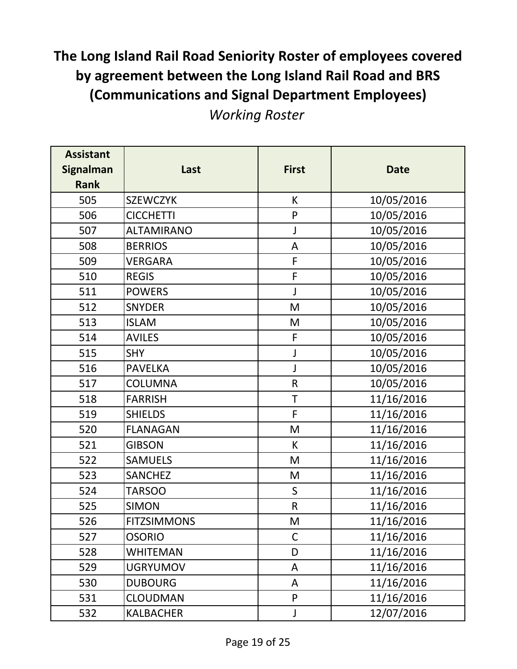| <b>Assistant</b><br><b>Signalman</b><br><b>Rank</b> | Last               | <b>First</b> | <b>Date</b> |
|-----------------------------------------------------|--------------------|--------------|-------------|
| 505                                                 | <b>SZEWCZYK</b>    | K            | 10/05/2016  |
| 506                                                 | <b>CICCHETTI</b>   | ${\sf P}$    | 10/05/2016  |
| 507                                                 | <b>ALTAMIRANO</b>  | J            | 10/05/2016  |
| 508                                                 | <b>BERRIOS</b>     | $\mathsf A$  | 10/05/2016  |
| 509                                                 | VERGARA            | F            | 10/05/2016  |
| 510                                                 | <b>REGIS</b>       | F            | 10/05/2016  |
| 511                                                 | <b>POWERS</b>      | J            | 10/05/2016  |
| 512                                                 | <b>SNYDER</b>      | M            | 10/05/2016  |
| 513                                                 | <b>ISLAM</b>       | M            | 10/05/2016  |
| 514                                                 | <b>AVILES</b>      | F            | 10/05/2016  |
| 515                                                 | <b>SHY</b>         | J            | 10/05/2016  |
| 516                                                 | <b>PAVELKA</b>     | J            | 10/05/2016  |
| 517                                                 | <b>COLUMNA</b>     | $\mathsf R$  | 10/05/2016  |
| 518                                                 | <b>FARRISH</b>     | $\mathsf T$  | 11/16/2016  |
| 519                                                 | <b>SHIELDS</b>     | F            | 11/16/2016  |
| 520                                                 | <b>FLANAGAN</b>    | M            | 11/16/2016  |
| 521                                                 | <b>GIBSON</b>      | K            | 11/16/2016  |
| 522                                                 | <b>SAMUELS</b>     | M            | 11/16/2016  |
| 523                                                 | <b>SANCHEZ</b>     | M            | 11/16/2016  |
| 524                                                 | <b>TARSOO</b>      | $\mathsf{S}$ | 11/16/2016  |
| 525                                                 | <b>SIMON</b>       | $\mathsf{R}$ | 11/16/2016  |
| 526                                                 | <b>FITZSIMMONS</b> | M            | 11/16/2016  |
| 527                                                 | <b>OSORIO</b>      | $\mathsf{C}$ | 11/16/2016  |
| 528                                                 | WHITEMAN           | D            | 11/16/2016  |
| 529                                                 | <b>UGRYUMOV</b>    | A            | 11/16/2016  |
| 530                                                 | <b>DUBOURG</b>     | A            | 11/16/2016  |
| 531                                                 | <b>CLOUDMAN</b>    | P            | 11/16/2016  |
| 532                                                 | <b>KALBACHER</b>   | J            | 12/07/2016  |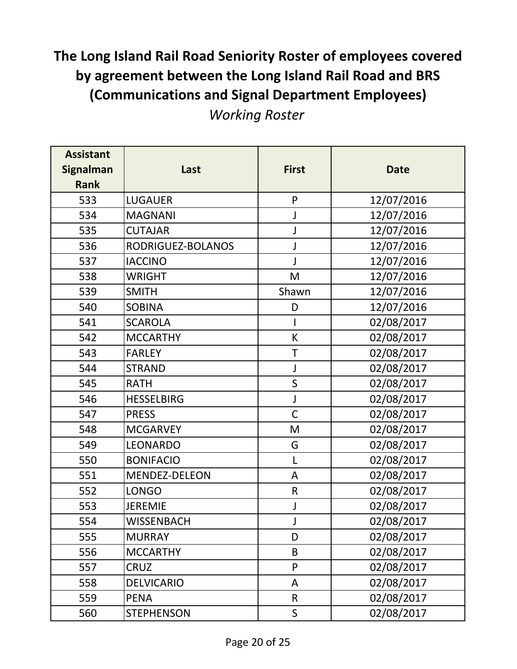*Working Roster*

| <b>Assistant</b><br><b>Signalman</b><br><b>Rank</b> | Last              | <b>First</b> | <b>Date</b> |
|-----------------------------------------------------|-------------------|--------------|-------------|
| 533                                                 | <b>LUGAUER</b>    | $\mathsf{P}$ | 12/07/2016  |
| 534                                                 | <b>MAGNANI</b>    | J            | 12/07/2016  |
| 535                                                 | <b>CUTAJAR</b>    | J            | 12/07/2016  |
| 536                                                 | RODRIGUEZ-BOLANOS | J            | 12/07/2016  |
| 537                                                 | <b>IACCINO</b>    | J            | 12/07/2016  |
| 538                                                 | <b>WRIGHT</b>     | M            | 12/07/2016  |
| 539                                                 | <b>SMITH</b>      | Shawn        | 12/07/2016  |
| 540                                                 | <b>SOBINA</b>     | D            | 12/07/2016  |
| 541                                                 | <b>SCAROLA</b>    |              | 02/08/2017  |
| 542                                                 | <b>MCCARTHY</b>   | К            | 02/08/2017  |
| 543                                                 | <b>FARLEY</b>     | T            | 02/08/2017  |
| 544                                                 | <b>STRAND</b>     | J            | 02/08/2017  |
| 545                                                 | <b>RATH</b>       | $\mathsf S$  | 02/08/2017  |
| 546                                                 | <b>HESSELBIRG</b> | J            | 02/08/2017  |
| 547                                                 | <b>PRESS</b>      | $\mathsf C$  | 02/08/2017  |
| 548                                                 | <b>MCGARVEY</b>   | M            | 02/08/2017  |
| 549                                                 | LEONARDO          | G            | 02/08/2017  |
| 550                                                 | <b>BONIFACIO</b>  | L            | 02/08/2017  |
| 551                                                 | MENDEZ-DELEON     | A            | 02/08/2017  |
| 552                                                 | <b>LONGO</b>      | $\mathsf{R}$ | 02/08/2017  |
| 553                                                 | <b>JEREMIE</b>    | J            | 02/08/2017  |
| 554                                                 | <b>WISSENBACH</b> |              | 02/08/2017  |
| 555                                                 | <b>MURRAY</b>     | D            | 02/08/2017  |
| 556                                                 | <b>MCCARTHY</b>   | B            | 02/08/2017  |
| 557                                                 | <b>CRUZ</b>       | P            | 02/08/2017  |
| 558                                                 | <b>DELVICARIO</b> | A            | 02/08/2017  |
| 559                                                 | <b>PENA</b>       | $\mathsf{R}$ | 02/08/2017  |
| 560                                                 | <b>STEPHENSON</b> | $\mathsf S$  | 02/08/2017  |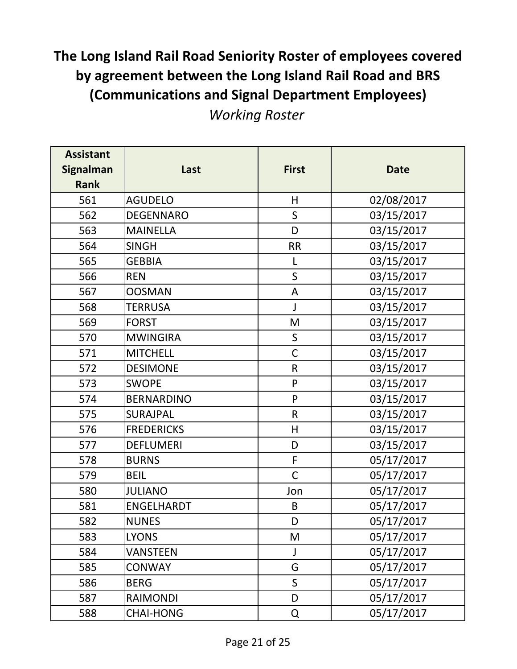| <b>Assistant</b><br><b>Signalman</b><br><b>Rank</b> | Last              | <b>First</b> | <b>Date</b> |
|-----------------------------------------------------|-------------------|--------------|-------------|
| 561                                                 | <b>AGUDELO</b>    | H            | 02/08/2017  |
| 562                                                 | <b>DEGENNARO</b>  | $\mathsf{S}$ | 03/15/2017  |
| 563                                                 | <b>MAINELLA</b>   | D            | 03/15/2017  |
| 564                                                 | <b>SINGH</b>      | <b>RR</b>    | 03/15/2017  |
| 565                                                 | <b>GEBBIA</b>     | L            | 03/15/2017  |
| 566                                                 | <b>REN</b>        | $\mathsf S$  | 03/15/2017  |
| 567                                                 | <b>OOSMAN</b>     | A            | 03/15/2017  |
| 568                                                 | <b>TERRUSA</b>    | J            | 03/15/2017  |
| 569                                                 | <b>FORST</b>      | M            | 03/15/2017  |
| 570                                                 | <b>MWINGIRA</b>   | $\mathsf{S}$ | 03/15/2017  |
| 571                                                 | <b>MITCHELL</b>   | $\mathsf C$  | 03/15/2017  |
| 572                                                 | <b>DESIMONE</b>   | ${\sf R}$    | 03/15/2017  |
| 573                                                 | <b>SWOPE</b>      | P            | 03/15/2017  |
| 574                                                 | <b>BERNARDINO</b> | $\mathsf{P}$ | 03/15/2017  |
| 575                                                 | SURAJPAL          | ${\sf R}$    | 03/15/2017  |
| 576                                                 | <b>FREDERICKS</b> | $\mathsf{H}$ | 03/15/2017  |
| 577                                                 | <b>DEFLUMERI</b>  | D            | 03/15/2017  |
| 578                                                 | <b>BURNS</b>      | F            | 05/17/2017  |
| 579                                                 | <b>BEIL</b>       | $\mathsf{C}$ | 05/17/2017  |
| 580                                                 | <b>JULIANO</b>    | Jon          | 05/17/2017  |
| 581                                                 | <b>ENGELHARDT</b> | B            | 05/17/2017  |
| 582                                                 | <b>NUNES</b>      | D            | 05/17/2017  |
| 583                                                 | <b>LYONS</b>      | M            | 05/17/2017  |
| 584                                                 | VANSTEEN          | J            | 05/17/2017  |
| 585                                                 | CONWAY            | G            | 05/17/2017  |
| 586                                                 | <b>BERG</b>       | $\mathsf{S}$ | 05/17/2017  |
| 587                                                 | <b>RAIMONDI</b>   | D            | 05/17/2017  |
| 588                                                 | <b>CHAI-HONG</b>  | Q            | 05/17/2017  |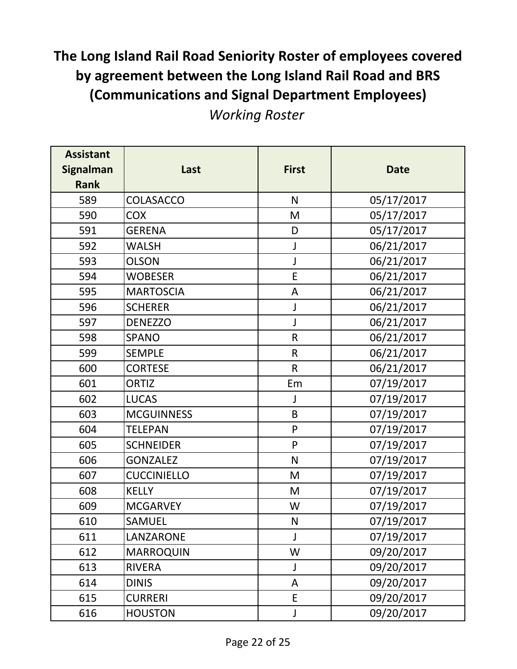| <b>Assistant</b> |                    |              |             |
|------------------|--------------------|--------------|-------------|
| <b>Signalman</b> | Last               | <b>First</b> | <b>Date</b> |
| <b>Rank</b>      |                    |              |             |
| 589              | COLASACCO          | N            | 05/17/2017  |
| 590              | <b>COX</b>         | M            | 05/17/2017  |
| 591              | <b>GERENA</b>      | D            | 05/17/2017  |
| 592              | <b>WALSH</b>       | J            | 06/21/2017  |
| 593              | <b>OLSON</b>       | J            | 06/21/2017  |
| 594              | <b>WOBESER</b>     | E            | 06/21/2017  |
| 595              | <b>MARTOSCIA</b>   | A            | 06/21/2017  |
| 596              | <b>SCHERER</b>     | J            | 06/21/2017  |
| 597              | <b>DENEZZO</b>     | J            | 06/21/2017  |
| 598              | <b>SPANO</b>       | ${\sf R}$    | 06/21/2017  |
| 599              | <b>SEMPLE</b>      | $\mathsf{R}$ | 06/21/2017  |
| 600              | <b>CORTESE</b>     | $\mathsf{R}$ | 06/21/2017  |
| 601              | <b>ORTIZ</b>       | Em           | 07/19/2017  |
| 602              | <b>LUCAS</b>       | J            | 07/19/2017  |
| 603              | <b>MCGUINNESS</b>  | B            | 07/19/2017  |
| 604              | <b>TELEPAN</b>     | P            | 07/19/2017  |
| 605              | <b>SCHNEIDER</b>   | P            | 07/19/2017  |
| 606              | <b>GONZALEZ</b>    | $\mathsf{N}$ | 07/19/2017  |
| 607              | <b>CUCCINIELLO</b> | M            | 07/19/2017  |
| 608              | <b>KELLY</b>       | M            | 07/19/2017  |
| 609              | <b>MCGARVEY</b>    | W            | 07/19/2017  |
| 610              | <b>SAMUEL</b>      | N            | 07/19/2017  |
| 611              | LANZARONE          | J            | 07/19/2017  |
| 612              | <b>MARROQUIN</b>   | W            | 09/20/2017  |
| 613              | <b>RIVERA</b>      | J            | 09/20/2017  |
| 614              | <b>DINIS</b>       | A            | 09/20/2017  |
| 615              | <b>CURRERI</b>     | E            | 09/20/2017  |
| 616              | <b>HOUSTON</b>     | J            | 09/20/2017  |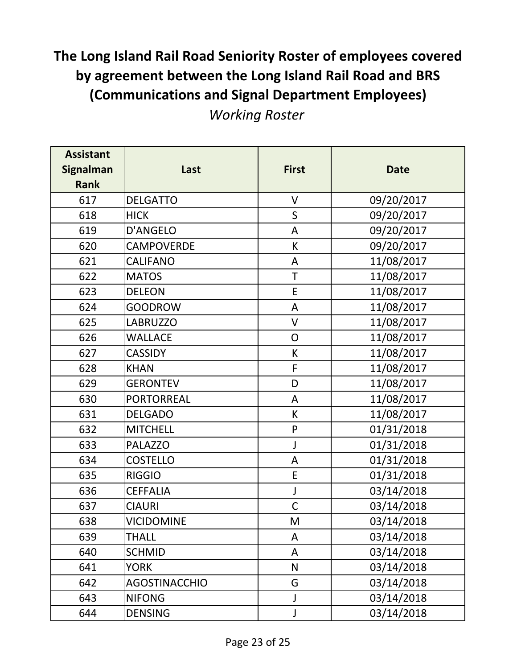| <b>Assistant</b><br><b>Signalman</b><br><b>Rank</b> | Last                 | <b>First</b> | <b>Date</b> |
|-----------------------------------------------------|----------------------|--------------|-------------|
| 617                                                 | <b>DELGATTO</b>      | V            | 09/20/2017  |
| 618                                                 | <b>HICK</b>          | $\mathsf S$  | 09/20/2017  |
| 619                                                 | D'ANGELO             | A            | 09/20/2017  |
| 620                                                 | <b>CAMPOVERDE</b>    | К            | 09/20/2017  |
| 621                                                 | <b>CALIFANO</b>      | A            | 11/08/2017  |
| 622                                                 | <b>MATOS</b>         | $\top$       | 11/08/2017  |
| 623                                                 | <b>DELEON</b>        | $\mathsf E$  | 11/08/2017  |
| 624                                                 | <b>GOODROW</b>       | A            | 11/08/2017  |
| 625                                                 | <b>LABRUZZO</b>      | $\mathsf{V}$ | 11/08/2017  |
| 626                                                 | <b>WALLACE</b>       | $\mathsf O$  | 11/08/2017  |
| 627                                                 | <b>CASSIDY</b>       | К            | 11/08/2017  |
| 628                                                 | <b>KHAN</b>          | F            | 11/08/2017  |
| 629                                                 | <b>GERONTEV</b>      | D            | 11/08/2017  |
| 630                                                 | <b>PORTORREAL</b>    | A            | 11/08/2017  |
| 631                                                 | <b>DELGADO</b>       | К            | 11/08/2017  |
| 632                                                 | <b>MITCHELL</b>      | $\mathsf{P}$ | 01/31/2018  |
| 633                                                 | <b>PALAZZO</b>       | J            | 01/31/2018  |
| 634                                                 | <b>COSTELLO</b>      | A            | 01/31/2018  |
| 635                                                 | <b>RIGGIO</b>        | E            | 01/31/2018  |
| 636                                                 | <b>CEFFALIA</b>      | J            | 03/14/2018  |
| 637                                                 | <b>CIAURI</b>        | $\mathsf{C}$ | 03/14/2018  |
| 638                                                 | <b>VICIDOMINE</b>    | M            | 03/14/2018  |
| 639                                                 | <b>THALL</b>         | A            | 03/14/2018  |
| 640                                                 | <b>SCHMID</b>        | A            | 03/14/2018  |
| 641                                                 | <b>YORK</b>          | N            | 03/14/2018  |
| 642                                                 | <b>AGOSTINACCHIO</b> | G            | 03/14/2018  |
| 643                                                 | <b>NIFONG</b>        | J            | 03/14/2018  |
| 644                                                 | <b>DENSING</b>       | J            | 03/14/2018  |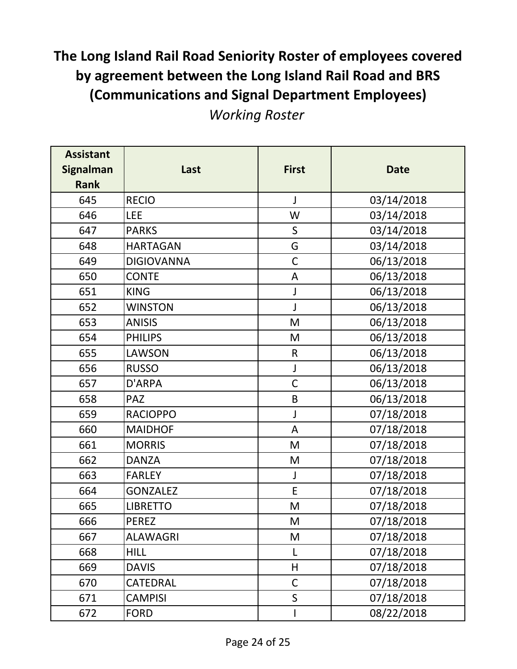| <b>Assistant</b><br><b>Signalman</b><br><b>Rank</b> | Last              | <b>First</b> | <b>Date</b> |
|-----------------------------------------------------|-------------------|--------------|-------------|
| 645                                                 | <b>RECIO</b>      | J            | 03/14/2018  |
| 646                                                 | <b>LEE</b>        | W            | 03/14/2018  |
| 647                                                 | <b>PARKS</b>      | $\sf S$      | 03/14/2018  |
| 648                                                 | <b>HARTAGAN</b>   | G            | 03/14/2018  |
| 649                                                 | <b>DIGIOVANNA</b> | $\mathsf C$  | 06/13/2018  |
| 650                                                 | <b>CONTE</b>      | A            | 06/13/2018  |
| 651                                                 | <b>KING</b>       | J            | 06/13/2018  |
| 652                                                 | <b>WINSTON</b>    | J            | 06/13/2018  |
| 653                                                 | <b>ANISIS</b>     | M            | 06/13/2018  |
| 654                                                 | <b>PHILIPS</b>    | M            | 06/13/2018  |
| 655                                                 | LAWSON            | $\mathsf{R}$ | 06/13/2018  |
| 656                                                 | <b>RUSSO</b>      | J            | 06/13/2018  |
| 657                                                 | D'ARPA            | $\mathsf C$  | 06/13/2018  |
| 658                                                 | <b>PAZ</b>        | B            | 06/13/2018  |
| 659                                                 | <b>RACIOPPO</b>   | J            | 07/18/2018  |
| 660                                                 | <b>MAIDHOF</b>    | A            | 07/18/2018  |
| 661                                                 | <b>MORRIS</b>     | M            | 07/18/2018  |
| 662                                                 | <b>DANZA</b>      | M            | 07/18/2018  |
| 663                                                 | <b>FARLEY</b>     | J            | 07/18/2018  |
| 664                                                 | <b>GONZALEZ</b>   | E            | 07/18/2018  |
| 665                                                 | <b>LIBRETTO</b>   | M            | 07/18/2018  |
| 666                                                 | <b>PEREZ</b>      | M            | 07/18/2018  |
| 667                                                 | <b>ALAWAGRI</b>   | M            | 07/18/2018  |
| 668                                                 | <b>HILL</b>       | L            | 07/18/2018  |
| 669                                                 | <b>DAVIS</b>      | H            | 07/18/2018  |
| 670                                                 | CATEDRAL          | $\mathsf C$  | 07/18/2018  |
| 671                                                 | <b>CAMPISI</b>    | $\mathsf S$  | 07/18/2018  |
| 672                                                 | <b>FORD</b>       |              | 08/22/2018  |